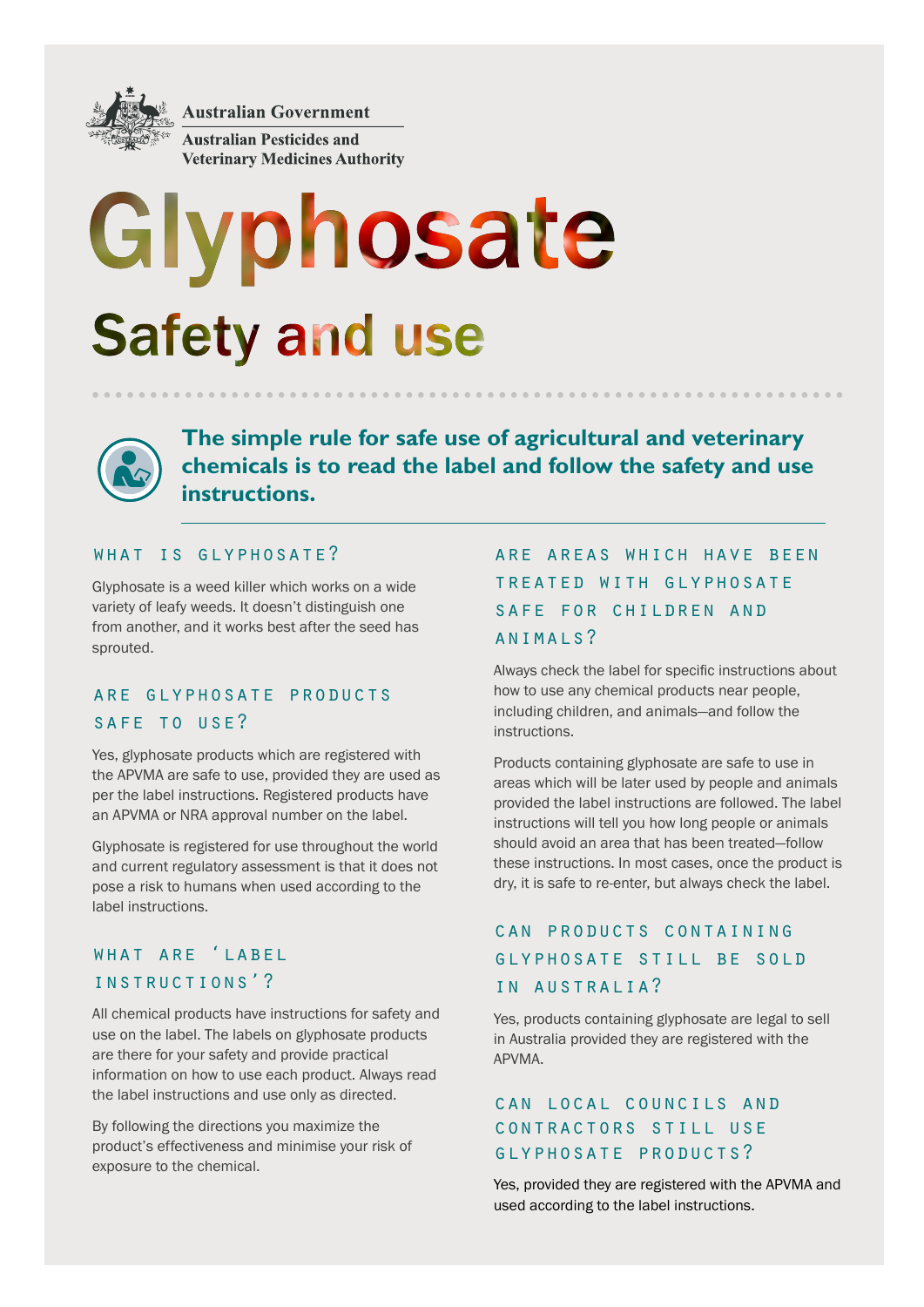

**Australian Government** 

**Australian Pesticides and Veterinary Medicines Authority** 

# Glyphosate **Safety and use**



**The simple rule for safe use of agricultural and veterinary chemicals is to read the label and follow the safety and use instructions.**

#### WHAT IS GLYPHOSATE?

Glyphosate is a weed killer which works on a wide variety of leafy weeds. It doesn't distinguish one from another, and it works best after the seed has sprouted.

#### are glyphosate products SAFE TO USE?

Yes, glyphosate products which are registered with the APVMA are safe to use, provided they are used as per the label instructions. Registered products have an APVMA or NRA approval number on the label.

Glyphosate is registered for use throughout the world and current regulatory assessment is that it does not pose a risk to humans when used according to the label instructions.

#### what are 'label instructions'?

All chemical products have instructions for safety and use on the label. The labels on glyphosate products are there for your safety and provide practical information on how to use each product. Always read the label instructions and use only as directed.

By following the directions you maximize the product's effectiveness and minimise your risk of exposure to the chemical.

### are areas which have been treated with glyphosate safe for children and animals?

Always check the label for specific instructions about how to use any chemical products near people, including children, and animals—and follow the instructions.

Products containing glyphosate are safe to use in areas which will be later used by people and animals provided the label instructions are followed. The label instructions will tell you how long people or animals should avoid an area that has been treated—follow these instructions. In most cases, once the product is dry, it is safe to re-enter, but always check the label.

### can products containing glyphosate still be sold in australia?

Yes, products containing glyphosate are legal to sell in Australia provided they are registered with the APVMA.

#### can local councils and contractors still use glyphosate products?

Yes, provided they are registered with the APVMA and used according to the label instructions.